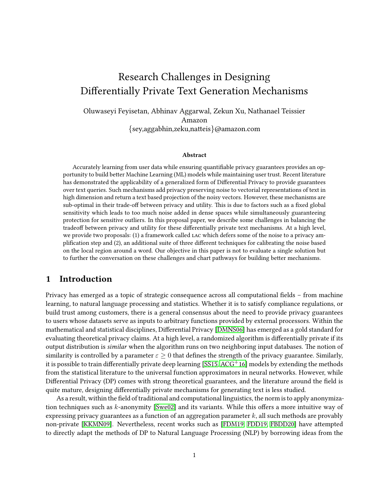# Research Challenges in Designing Differentially Private Text Generation Mechanisms

Oluwaseyi Feyisetan, Abhinav Aggarwal, Zekun Xu, Nathanael Teissier Amazon  $\{sey, aggabhin,zeku, natteis\}$ @amazon.com

#### Abstract

Accurately learning from user data while ensuring quantifiable privacy guarantees provides an opportunity to build better Machine Learning (ML) models while maintaining user trust. Recent literature has demonstrated the applicability of a generalized form of Differential Privacy to provide guarantees over text queries. Such mechanisms add privacy preserving noise to vectorial representations of text in high dimension and return a text based projection of the noisy vectors. However, these mechanisms are sub-optimal in their trade-off between privacy and utility. This is due to factors such as a fixed global sensitivity which leads to too much noise added in dense spaces while simultaneously guaranteeing protection for sensitive outliers. In this proposal paper, we describe some challenges in balancing the tradeoff between privacy and utility for these differentially private text mechanisms. At a high level, we provide two proposals: (1) a framework called lac which defers some of the noise to a privacy amplification step and (2), an additional suite of three different techniques for calibrating the noise based on the local region around a word. Our objective in this paper is not to evaluate a single solution but to further the conversation on these challenges and chart pathways for building better mechanisms.

## 1 Introduction

Privacy has emerged as a topic of strategic consequence across all computational fields – from machine learning, to natural language processing and statistics. Whether it is to satisfy compliance regulations, or build trust among customers, there is a general consensus about the need to provide privacy guarantees to users whose datasets serve as inputs to arbitrary functions provided by external processors. Within the mathematical and statistical disciplines, Differential Privacy [\[DMNS06\]](#page-11-0) has emerged as a gold standard for evaluating theoretical privacy claims. At a high level, a randomized algorithm is differentially private if its output distribution is *similar* when the algorithm runs on two neighboring input databases. The notion of similarity is controlled by a parameter  $\varepsilon \geq 0$  that defines the strength of the privacy guarantee. Similarly, it is possible to train differentially private deep learning [\[SS15,](#page-12-0) [ACG](#page-10-0)<sup>+</sup>16] models by extending the methods from the statistical literature to the universal function approximators in neural networks. However, while Differential Privacy (DP) comes with strong theoretical guarantees, and the literature around the field is quite mature, designing differentially private mechanisms for generating text is less studied.

As a result, within the field of traditional and computational linguistics, the norm is to apply anonymiza-tion techniques such as k-anonymity [\[Swe02\]](#page-12-1) and its variants. While this offers a more intuitive way of expressing privacy guarantees as a function of an aggregation parameter  $k$ , all such methods are provably non-private [\[KKMN09\]](#page-11-1). Nevertheless, recent works such as [\[FDM19,](#page-11-2) [FDD19,](#page-11-3) [FBDD20\]](#page-11-4) have attempted to directly adapt the methods of DP to Natural Language Processing (NLP) by borrowing ideas from the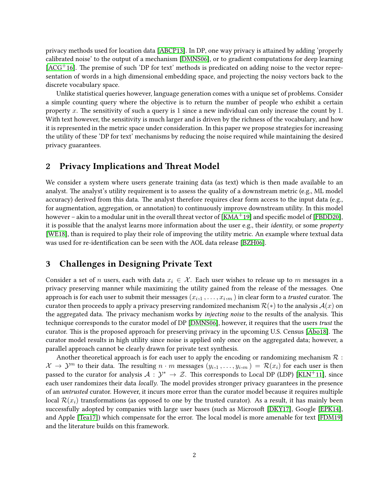privacy methods used for location data [\[ABCP13\]](#page-9-0). In DP, one way privacy is attained by adding 'properly calibrated noise' to the output of a mechanism [\[DMNS06\]](#page-11-0), or to gradient computations for deep learning  $[ACG<sup>+</sup>16]$  $[ACG<sup>+</sup>16]$ . The premise of such 'DP for text' methods is predicated on adding noise to the vector representation of words in a high dimensional embedding space, and projecting the noisy vectors back to the discrete vocabulary space.

Unlike statistical queries however, language generation comes with a unique set of problems. Consider a simple counting query where the objective is to return the number of people who exhibit a certain property x. The sensitivity of such a query is 1 since a new individual can only increase the count by 1. With text however, the sensitivity is much larger and is driven by the richness of the vocabulary, and how it is represented in the metric space under consideration. In this paper we propose strategies for increasing the utility of these 'DP for text' mechanisms by reducing the noise required while maintaining the desired privacy guarantees.

## 2 Privacy Implications and Threat Model

We consider a system where users generate training data (as text) which is then made available to an analyst. The analyst's utility requirement is to assess the quality of a downstream metric (e.g., ML model accuracy) derived from this data. The analyst therefore requires clear form access to the input data (e.g., for augmentation, aggregation, or annotation) to continuously improve downstream utility. In this model however – akin to a modular unit in the overall threat vector of  $[KMA<sup>+</sup>19]$  $[KMA<sup>+</sup>19]$  and specific model of [\[FBDD20\]](#page-11-4), it is possible that the analyst learns more information about the user e.g., their identity, or some property [\[WE18\]](#page-13-0), than is required to play their role of improving the utility metric. An example where textual data was used for re-identification can be seen with the AOL data release [\[BZH06\]](#page-10-1).

## 3 Challenges in Designing Private Text

Consider a set of n users, each with data  $x_i \in \mathcal{X}$ . Each user wishes to release up to m messages in a privacy preserving manner while maximizing the utility gained from the release of the messages. One approach is for each user to submit their messages  $(x_{i,1}\,,\ldots,x_{i,m})$  in clear form to a *trusted* curator. The curator then proceeds to apply a privacy preserving randomized mechanism  $\mathcal{R}(*)$  to the analysis  $\mathcal{A}(x)$  on the aggregated data. The privacy mechanism works by *injecting noise* to the results of the analysis. This technique corresponds to the curator model of DP [\[DMNS06\]](#page-11-0), however, it requires that the users trust the curator. This is the proposed approach for preserving privacy in the upcoming U.S. Census [\[Abo18\]](#page-9-1). The curator model results in high utility since noise is applied only once on the aggregated data; however, a parallel approach cannot be clearly drawn for private text synthesis.

Another theoretical approach is for each user to apply the encoding or randomizing mechanism  $\mathcal R$ :  $\mathcal{X} \to \mathcal{Y}^m$  to their data. The resulting  $n \cdot m$  messages  $(y_{i,1}, \ldots, y_{i,m}) = \mathcal{R}(x_i)$  for each user is then passed to the curator for analysis  $\mathcal{A}: \mathcal{Y}^* \to \mathcal{Z}$ . This corresponds to Local DP (LDP) [\[KLN](#page-11-6)<sup>+</sup>11], since each user randomizes their data *locally*. The model provides stronger privacy guarantees in the presence of an untrusted curator. However, it incurs more error than the curator model because it requires multiple local  $\mathcal{R}(x_i)$  transformations (as opposed to one by the trusted curator). As a result, it has mainly been successfully adopted by companies with large user bases (such as Microsoft [\[DKY17\]](#page-10-2), Google [\[EPK14\]](#page-11-7), and Apple [\[Tea17\]](#page-12-2)) which compensate for the error. The local model is more amenable for text [\[FDM19\]](#page-11-2) and the literature builds on this framework.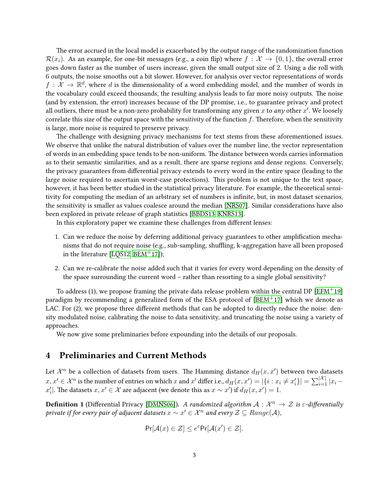The error accrued in the local model is exacerbated by the output range of the randomization function  $\mathcal{R}(x_i)$ . As an example, for one-bit messages (e.g., a coin flip) where  $f : \mathcal{X} \to \{0,1\}$ , the overall error goes down faster as the number of users increase, given the small output size of 2. Using a die roll with 6 outputs, the noise smooths out a bit slower. However, for analysis over vector representations of words  $f: \mathcal{X} \to \mathbb{R}^d$ , where d is the dimensionality of a word embedding model, and the number of words in the vocabulary could exceed thousands, the resulting analysis leads to far more noisy outputs. The noise (and by extension, the error) increases because of the DP promise, i.e., to guarantee privacy and protect all outliers, there must be a non-zero probability for transforming any given  $x$  to  $\overline{any}$  other  $x'.$  We loosely correlate this size of the output space with the *sensitivity* of the function  $f$ . Therefore, when the sensitivity is large, more noise is required to preserve privacy.

The challenge with designing privacy mechanisms for text stems from these aforementioned issues. We observe that unlike the natural distribution of values over the number line, the vector representation of words in an embedding space tends to be non-uniform. The distance between words carries information as to their semantic similarities, and as a result, there are sparse regions and dense regions. Conversely, the privacy guarantees from differential privacy extends to every word in the entire space (leading to the large noise required to ascertain worst-case protections). This problem is not unique to the text space, however, it has been better studied in the statistical privacy literature. For example, the theoretical sensitivity for computing the median of an arbitrary set of numbers is infinite, but, in most dataset scenarios, the sensitivity is smaller as values coalesce around the median [\[NRS07\]](#page-12-3). Similar considerations have also been explored in private release of graph statistics [\[BBDS13,](#page-10-3) [KNRS13\]](#page-12-4).

In this exploratory paper we examine these challenges from different lenses:

- 1. Can we reduce the noise by deferring additional privacy guarantees to other amplication mechanisms that do not require noise (e.g., sub-sampling, shuffling, k-aggregation have all been proposed in the literature [\[LQS12,](#page-12-5) [BEM](#page-10-4)<sup>+</sup>17]);
- 2. Can we re-calibrate the noise added such that it varies for every word depending on the density of the space surrounding the current word – rather than resorting to a single global sensitivity?

To address (1), we propose framing the private data release problem within the central DP [\[EFM](#page-11-8)+19] paradigm by recommending a generalized form of the ESA protocol of  $[BEM<sup>+</sup>17]$  $[BEM<sup>+</sup>17]$  which we denote as LAC. For  $(2)$ , we propose three different methods that can be adopted to directly reduce the noise: density modulated noise, calibrating the noise to data sensitivity, and truncating the noise using a variety of approaches.

We now give some preliminaries before expounding into the details of our proposals.

## 4 Preliminaries and Current Methods

Let  $\mathcal{X}^n$  be a collection of datasets from users. The Hamming distance  $d_H(x,x')$  between two datasets  $x,x'\in\mathcal{X}^n$  is the number of entries on which  $x$  and  $x'$  differ i.e.,  $d_H(x,x')=|\{i:x_i\neq x'_i\}|=\sum_{i=1}^{|\mathcal{X}|}|x_i$  $x'_i$ |. The datasets  $x, x' \in \mathcal{X}$  are adjacent (we denote this as  $x \sim x'$ ) if  $d_H(x,x') = 1$ .

**Definition 1** (Differential Privacy [\[DMNS06\]](#page-11-0)). A randomized algorithm  $A: \mathcal{X}^n \to \mathcal{Z}$  is  $\varepsilon$ -differentially private if for every pair of adjacent datasets  $x\sim x'\in\mathcal{X}^n$  and every  $\mathcal{Z}\subseteq Range(\mathcal{A}),$ 

$$
\Pr[\mathcal{A}(x) \in \mathcal{Z}] \le e^{\varepsilon} \Pr[\mathcal{A}(x') \in \mathcal{Z}].
$$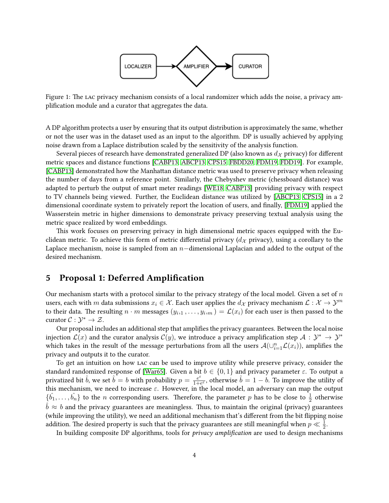

Figure 1: The LAC privacy mechanism consists of a local randomizer which adds the noise, a privacy amplication module and a curator that aggregates the data.

A DP algorithm protects a user by ensuring that its output distribution is approximately the same, whether or not the user was in the dataset used as an input to the algorithm. DP is usually achieved by applying noise drawn from a Laplace distribution scaled by the sensitivity of the analysis function.

Several pieces of research have demonstrated generalized DP (also known as  $d<sub>X</sub>$  privacy) for different metric spaces and distance functions [\[CABP13,](#page-10-5) [ABCP13,](#page-9-0) [CPS15,](#page-10-6) [FBDD20,](#page-11-4) [FDM19,](#page-11-2) [FDD19\]](#page-11-3). For example, [\[CABP13\]](#page-10-5) demonstrated how the Manhattan distance metric was used to preserve privacy when releasing the number of days from a reference point. Similarly, the Chebyshev metric (chessboard distance) was adapted to perturb the output of smart meter readings [\[WE18,](#page-13-0) [CABP13\]](#page-10-5) providing privacy with respect to TV channels being viewed. Further, the Euclidean distance was utilized by [\[ABCP13,](#page-9-0) [CPS15\]](#page-10-6) in a 2 dimensional coordinate system to privately report the location of users, and finally, [\[FDM19\]](#page-11-2) applied the Wasserstein metric in higher dimensions to demonstrate privacy preserving textual analysis using the metric space realized by word embeddings.

This work focuses on preserving privacy in high dimensional metric spaces equipped with the Euclidean metric. To achieve this form of metric differential privacy  $(d<sub>X</sub>$  privacy), using a corollary to the Laplace mechanism, noise is sampled from an  $n$ -dimensional Laplacian and added to the output of the desired mechanism.

## 5 Proposal 1: Deferred Amplification

Our mechanism starts with a protocol similar to the privacy strategy of the local model. Given a set of  $n$ users, each with m data submissions  $x_i \in \mathcal{X}$ . Each user applies the  $d_{\mathcal{X}}$  privacy mechanism  $\mathcal{L}: \mathcal{X} \to \mathcal{Y}^m$ to their data. The resulting  $n\cdot m$  messages  $(y_{i,1},\ldots,y_{i,m})=\mathcal{L}(x_i)$  for each user is then passed to the curator  $C: \mathcal{Y}^* \to \mathcal{Z}$ .

Our proposal includes an additional step that amplies the privacy guarantees. Between the local noise injection  $\mathcal{L}(x)$  and the curator analysis  $\mathcal{C}(y)$ , we introduce a privacy amplification step  $\mathcal{A}: \mathcal{Y}^* \to \mathcal{Y}^*$ which takes in the result of the message perturbations from all the users  $\mathcal{A}(\cup_{i=1}^n\mathcal{L}(x_i))$ , amplifies the privacy and outputs it to the curator.

To get an intuition on how lac can be used to improve utility while preserve privacy, consider the standard randomized response of [\[War65\]](#page-12-6). Given a bit  $b \in \{0,1\}$  and privacy parameter  $\varepsilon$ . To output a privatized bit  $\hat{b}$ , we set  $\hat{b} = b$  with probability  $p = \frac{e^{\varepsilon}}{1 + \varepsilon}$  $\frac{e^{\varepsilon}}{1+e^{\varepsilon}}$ , otherwise  $\hat{b}=1-b$ . To improve the utility of this mechanism, we need to increase  $\varepsilon$ . However, in the local model, an adversary can map the output  $\{\hat{b}_1,\ldots,\hat{b}_n\}$  to the *n* corresponding users. Therefore, the parameter *p* has to be close to  $\frac{1}{2}$  otherwise  $\hat{b} \approx b$  and the privacy guarantees are meaningless. Thus, to maintain the original (privacy) guarantees (while improving the utility), we need an additional mechanism that's different from the bit flipping noise addition. The desired property is such that the privacy guarantees are still meaningful when  $p \ll \frac{1}{2}$ .

In building composite DP algorithms, tools for *privacy amplification* are used to design mechanisms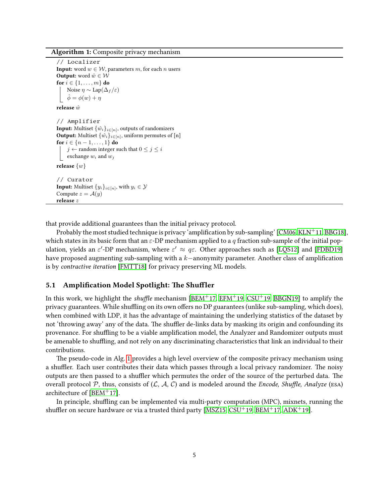Algorithm 1: Composite privacy mechanism

```
// Localizer
Input: word w \in \mathcal{W}, parameters m, for each n users
Output: word \hat{w} \in \mathcal{W}for i \in \{1, \ldots, m\} do
     Noise \eta \sim \text{Lap}(\Delta_f/\varepsilon)\phi = \phi(w) + \etarelease \hat{w}// Amplifier
Input: \tilde{M}ultiset \{\hat{w}_i\}_{i \in [n]}, outputs of randomizers
Output: Multiset \{\hat{w}_i\}_{i \in [n]}, uniform permutes of [n]
for i \in \{n-1, ..., 1\} do
     j \leftarrow random integer such that 0 \leq j \leq iexchange w_i and w_jrelease \{w\}// Curator
Input: Multiset \{y_i\}_{i\in[n]}, with y_i \in \mathcal{Y}Compute z = \mathcal{A}(y)release z
```
that provide additional guarantees than the initial privacy protocol.

Probably the most studied technique is privacy 'amplification by sub-sampling' [\[CM06,](#page-10-7) [KLN](#page-11-6)<sup>+</sup>11, [BBG18\]](#page-10-8), which states in its basic form that an  $\varepsilon$ -DP mechanism applied to a q fraction sub-sample of the initial population, yields an  $\varepsilon'$ -DP mechanism, where  $\varepsilon' \approx q \varepsilon$ . Other approaches such as [\[LQS12\]](#page-12-5) and [\[FDBD19\]](#page-11-9) have proposed augmenting sub-sampling with a k−anonymity parameter. Another class of amplication is by contractive iteration [\[FMTT18\]](#page-11-10) for privacy preserving ML models.

#### 5.1 Amplification Model Spotlight: The Shuffler

In this work, we highlight the *shuffle* mechanism [\[BEM](#page-10-4)<sup>+</sup>17, [EFM](#page-11-8)<sup>+</sup>19, [CSU](#page-10-9)<sup>+</sup>19, [BBGN19\]](#page-10-10) to amplify the privacy guarantees. While shuffling on its own offers no DP guarantees (unlike sub-sampling, which does), when combined with LDP, it has the advantage of maintaining the underlying statistics of the dataset by not 'throwing away' any of the data. The shuffler de-links data by masking its origin and confounding its provenance. For shuffling to be a viable amplification model, the Analyzer and Randomizer outputs must be amenable to shuffling, and not rely on any discriminating characteristics that link an individual to their contributions.

e pseudo-code in Alg. [1](#page-4-0) provides a high level overview of the composite privacy mechanism using a shuffler. Each user contributes their data which passes through a local privacy randomizer. The noisy outputs are then passed to a shuffler which permutes the order of the source of the perturbed data. The overall protocol P, thus, consists of  $(C, \mathcal{A}, C)$  and is modeled around the *Encode, Shuffle, Analyze* (ESA) architecture of [\[BEM](#page-10-4)+17].

In principle, shuffling can be implemented via multi-party computation (MPC), mixnets, running the shuffler on secure hardware or via a trusted third party [\[MSZ15,](#page-12-7) [CSU](#page-10-9)+19, [BEM](#page-10-4)+17, [ADK](#page-10-11)+19].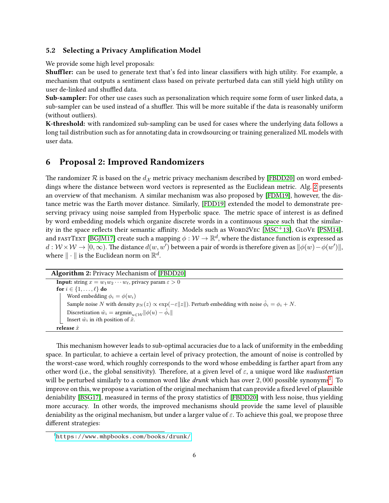### 5.2 Selecting a Privacy Amplication Model

We provide some high level proposals:

**Shuffler:** can be used to generate text that's fed into linear classifiers with high utility. For example, a mechanism that outputs a sentiment class based on private perturbed data can still yield high utility on user de-linked and shuffled data.

Sub-sampler: For other use cases such as personalization which require some form of user linked data, a sub-sampler can be used instead of a shuffler. This will be more suitable if the data is reasonably uniform (without outliers).

K-threshold: with randomized sub-sampling can be used for cases where the underlying data follows a long tail distribution such as for annotating data in crowdsourcing or training generalized ML models with user data.

## 6 Proposal 2: Improved Randomizers

The randomizer R is based on the  $d_{\mathcal{X}}$  metric privacy mechanism described by [\[FBDD20\]](#page-11-4) on word embeddings where the distance between word vectors is represented as the Euclidean metric. Alg. [2](#page-5-0) presents an overview of that mechanism. A similar mechanism was also proposed by [\[FDM19\]](#page-11-2), however, the distance metric was the Earth mover distance. Similarly, [\[FDD19\]](#page-11-3) extended the model to demonstrate preserving privacy using noise sampled from Hyperbolic space. The metric space of interest is as defined by word embedding models which organize discrete words in a continuous space such that the similar-ity in the space reflects their semantic affinity. Models such as WORD2VEC [\[MSC](#page-12-8)+13], GLOVE [\[PSM14\]](#page-12-9), and <code>FASTTEXT</code> [\[BGJM17\]](#page-10-12) create such a mapping  $\phi:\mathcal{W}\to\mathbb{R}^d,$  where the distance function is expressed as  $d: \mathcal{W} \times \mathcal{W} \to [0,\infty)$ . The distance  $d(w, w')$  between a pair of words is therefore given as  $\|\phi(w) - \phi(w')\|$ , where  $\|\cdot\|$  is the Euclidean norm on  $\mathbb{R}^d.$ 

```
Algorithm 2: Privacy Mechanism of [FBDD20]
  Input: string x = w_1w_2 \cdots w_\ell, privacy param \varepsilon > 0for i \in \{1, \ldots, \ell\} do
        Word embedding \phi_i = \phi(w_i)Sample noise N with density p_N(z) \propto \exp(-\varepsilon ||z||). Perturb embedding with noise \hat{\phi}_i = \phi_i + N.
        Discretization \hat{w}_i = \operatorname{argmin}_{u \in \mathcal{W}} ||\phi(u) - \hat{\phi}_i||Insert \hat{w}_i in ith position of \hat{x}.
  release \hat{x}
```
This mechanism however leads to sub-optimal accuracies due to a lack of uniformity in the embedding space. In particular, to achieve a certain level of privacy protection, the amount of noise is controlled by the worst-case word, which roughly corresponds to the word whose embedding is farther apart from any other word (i.e., the global sensitivity). Therefore, at a given level of  $\varepsilon$ , a unique word like *nudiustertian* will be perturbed similarly to a common word like  $drunk$  which has over 2,000 possible synonyms<sup>[1](#page-5-1)</sup>. To improve on this, we propose a variation of the original mechanism that can provide a fixed level of plausible deniability [\[BSG17\]](#page-10-13), measured in terms of the proxy statistics of [\[FBDD20\]](#page-11-4) with less noise, thus yielding more accuracy. In other words, the improved mechanisms should provide the same level of plausible deniability as the original mechanism, but under a larger value of  $\varepsilon$ . To achieve this goal, we propose three different strategies:

<span id="page-5-1"></span><sup>1</sup><https://www.mhpbooks.com/books/drunk/>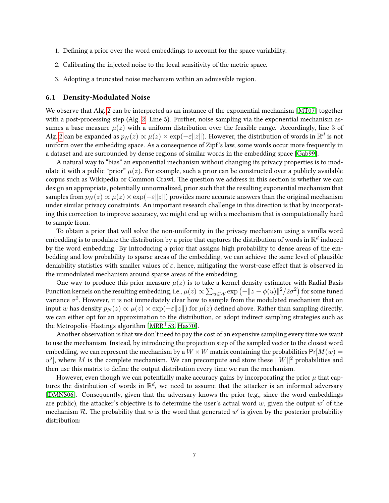- 1. Defining a prior over the word embeddings to account for the space variability.
- 2. Calibrating the injected noise to the local sensitivity of the metric space.
- 3. Adopting a truncated noise mechanism within an admissible region.

#### 6.1 Density-Modulated Noise

We observe that Alg. [2](#page-5-0) can be interpreted as an instance of the exponential mechanism [\[MT07\]](#page-12-10) together with a post-processing step (Alg. [2:](#page-5-0) Line 5). Further, noise sampling via the exponential mechanism assumes a base measure  $\mu(z)$  with a uniform distribution over the feasible range. Accordingly, line 3 of Alg. [2](#page-5-0) can be expanded as  $p_N(z)\propto \mu(z)\times \exp(-\varepsilon\|z\|).$  However, the distribution of words in  $\mathbb{R}^d$  is not uniform over the embedding space. As a consequence of Zipf's law, some words occur more frequently in a dataset and are surrounded by dense regions of similar words in the embedding space [\[Gab99\]](#page-11-11).

A natural way to "bias" an exponential mechanism without changing its privacy properties is to modulate it with a public "prior"  $\mu(z)$ . For example, such a prior can be constructed over a publicly available corpus such as Wikipedia or Common Crawl. The question we address in this section is whether we can design an appropriate, potentially unnormalized, prior such that the resulting exponential mechanism that samples from  $p_N(z) \propto \mu(z) \times \exp(-\varepsilon ||z||)$  provides more accurate answers than the original mechanism under similar privacy constraints. An important research challenge in this direction is that by incorporating this correction to improve accuracy, we might end up with a mechanism that is computationally hard to sample from.

To obtain a prior that will solve the non-uniformity in the privacy mechanism using a vanilla word embedding is to modulate the distribution by a prior that captures the distribution of words in  $\mathbb{R}^d$  induced by the word embedding. By introducing a prior that assigns high probability to dense areas of the embedding and low probability to sparse areas of the embedding, we can achieve the same level of plausible deniability statistics with smaller values of  $\varepsilon$ , hence, mitigating the worst-case effect that is observed in the unmodulated mechanism around sparse areas of the embedding.

One way to produce this prior measure  $\mu(z)$  is to take a kernel density estimator with Radial Basis Function kernels on the resulting embedding, i.e.,  $\mu(z)\propto \sum_{u\in\mathcal{W}}\exp\left(-\|z-\phi(u)\|^2/2\sigma^2\right)$  for some tuned variance  $\sigma^2$ . However, it is not immediately clear how to sample from the modulated mechanism that on input w has density  $p_N(z) \propto \mu(z) \times \exp(-\varepsilon ||z||)$  for  $\mu(z)$  defined above. Rather than sampling directly, we can either opt for an approximation to the distribution, or adopt indirect sampling strategies such as the Metropolis–Hastings algorithm [ $MRR$ <sup>+</sup>53, [Has70\]](#page-11-12).

Another observation is that we don't need to pay the cost of an expensive sampling every time we want to use the mechanism. Instead, by introducing the projection step of the sampled vector to the closest word embedding, we can represent the mechanism by a  $W \times W$  matrix containing the probabilities Pr[ $M(w)$  =  $w'$ ], where M is the complete mechanism. We can precompute and store these  $||W||^2$  probabilities and then use this matrix to define the output distribution every time we run the mechanism.

However, even though we can potentially make accuracy gains by incorporating the prior  $\mu$  that captures the distribution of words in  $\mathbb{R}^d$ , we need to assume that the attacker is an informed adversary [\[DMNS06\]](#page-11-0). Consequently, given that the adversary knows the prior (e.g., since the word embeddings are public), the attacker's objective is to determine the user's actual word  $w$ , given the output  $w'$  of the mechanism R. The probability that w is the word that generated w' is given by the posterior probability distribution: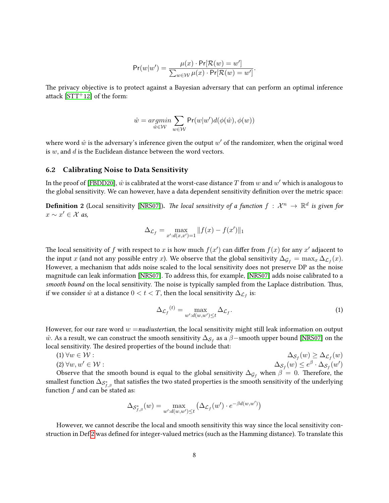$$
\Pr(w|w') = \frac{\mu(x) \cdot \Pr[\mathcal{R}(w) = w']}{\sum_{w \in \mathcal{W}} \mu(x) \cdot \Pr[\mathcal{R}(w) = w']}.
$$

The privacy objective is to protect against a Bayesian adversary that can perform an optimal inference attack  $[STT<sup>+</sup>12]$  $[STT<sup>+</sup>12]$  of the form:

$$
\hat{w} = \underset{\hat{w} \in \mathcal{W}}{argmin} \sum_{w \in \mathcal{W}} \text{Pr}(w|w') d(\phi(\hat{w}), \phi(w))
$$

where word  $\hat{w}$  is the adversary's inference given the output  $w'$  of the randomizer, when the original word is  $w$ , and  $d$  is the Euclidean distance between the word vectors.

#### <span id="page-7-2"></span>6.2 Calibrating Noise to Data Sensitivity

In the proof of [\[FBDD20\]](#page-11-4),  $\hat{w}$  is calibrated at the worst-case distance  $T$  from  $w$  and  $w'$  which is analogous to the global sensitivity. We can however, have a data dependent sensitivity definition over the metric space:

<span id="page-7-0"></span>**Definition 2** (Local sensitivity [\[NRS07\]](#page-12-3)). *The local sensitivity of a function*  $f: \mathcal{X}^n \to \mathbb{R}^d$  *is given for*  $x \sim x' \in \mathcal{X}$  as,

$$
\Delta_{\mathcal{L}_f} = \max_{x':d(x,x')=1} ||f(x) - f(x')||_1
$$

The local sensitivity of f with respect to x is how much  $f(x')$  can differ from  $f(x)$  for any x' adjacent to the input x (and not any possible entry x). We observe that the global sensitivity  $\Delta_{\mathcal{G}_f} = \max_x \Delta_{\mathcal{L}_f}(x)$ . However, a mechanism that adds noise scaled to the local sensitivity does not preserve DP as the noise magnitude can leak information [\[NRS07\]](#page-12-3). To address this, for example, [\[NRS07\]](#page-12-3) adds noise calibrated to a smooth bound on the local sensitivity. The noise is typically sampled from the Laplace distribution. Thus, if we consider  $\hat{w}$  at a distance  $0 < t < T$ , then the local sensitivity  $\Delta_{\mathcal{L}_f}$  is:

<span id="page-7-1"></span>
$$
\Delta_{\mathcal{L}_f}^{(t)} = \max_{w':d(w,w') \le t} \Delta_{\mathcal{L}_f}.\tag{1}
$$

However, for our rare word  $w =$  nudiustertian, the local sensitivity might still leak information on output  $\hat{w}$ . As a result, we can construct the smooth sensitivity  $\Delta_{\mathcal{S}_f}$  as a  $\hat{\beta}-$ smooth upper bound [\[NRS07\]](#page-12-3) on the local sensitivity. The desired properties of the bound include that:

$$
(1) \forall w \in \mathcal{W} : \Delta_{\mathcal{S}_f}(w) \ge \Delta_{\mathcal{L}_f}(w)
$$
  

$$
(2) \forall w, w' \in \mathcal{W} :
$$
  

$$
\Delta_{\mathcal{S}_f}(w) \le e^{\beta} \cdot \Delta_{\mathcal{S}_f}(w')
$$

Observe that the smooth bound is equal to the global sensitivity  $\Delta_{\mathcal{G}_f}$  when  $\beta = 0$ . Therefore, the smallest function  $\Delta_{\mathcal{S}_{f,\beta}^*}$  that satisfies the two stated properties is the smooth sensitivity of the underlying function  $f$  and can be stated as:

$$
\Delta_{\mathcal{S}_{f,\beta}^*}(w) = \max_{w':d(w,w') \leq t} (\Delta_{\mathcal{L}_f}(w') \cdot e^{-\beta d(w,w')})
$$

However, we cannot describe the local and smooth sensitivity this way since the local sensitivity con-struction in Def [2](#page-7-0) was defined for integer-valued metrics (such as the Hamming distance). To translate this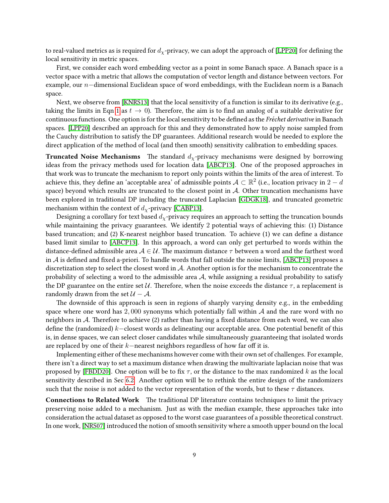to real-valued metrics as is required for  $d_x$ -privacy, we can adopt the approach of [\[LPP20\]](#page-12-13) for defining the local sensitivity in metric spaces.

First, we consider each word embedding vector as a point in some Banach space. A Banach space is a vector space with a metric that allows the computation of vector length and distance between vectors. For example, our n−dimensional Euclidean space of word embeddings, with the Euclidean norm is a Banach space.

Next, we observe from [\[KNRS13\]](#page-12-4) that the local sensitivity of a function is similar to its derivative (e.g., taking the limits in Eqn [1](#page-7-1) as  $t \to 0$ ). Therefore, the aim is to find an analog of a suitable derivative for continuous functions. One option is for the local sensitivity to be defined as the Fréchet derivative in Banach spaces. [\[LPP20\]](#page-12-13) described an approach for this and they demonstrated how to apply noise sampled from the Cauchy distribution to satisfy the DP guarantees. Additional research would be needed to explore the direct application of the method of local (and then smooth) sensitivity calibration to embedding spaces.

**Truncated Noise Mechanisms** The standard  $d<sub>x</sub>$ -privacy mechanisms were designed by borrowing ideas from the privacy methods used for location data [\[ABCP13\]](#page-9-0). One of the proposed approaches in that work was to truncate the mechanism to report only points within the limits of the area of interest. To achieve this, they define an 'acceptable area' of admissible points  $\mathcal{A}\subset\mathbb{R}^2$  (i.e., location privacy in  $2-d$ space) beyond which results are truncated to the closest point in  $A$ . Other truncation mechanisms have been explored in traditional DP including the truncated Laplacian [\[GDGK18\]](#page-11-13), and truncated geometric mechanism within the context of  $d<sub>x</sub>$ -privacy [\[CABP13\]](#page-10-5).

Designing a corollary for text based  $d_{\chi}$ -privacy requires an approach to setting the truncation bounds while maintaining the privacy guarantees. We identify 2 potential ways of achieving this: (1) Distance based truncation; and (2) K-nearest neighbor based truncation. To achieve (1) we can define a distance based limit similar to [\[ABCP13\]](#page-9-0). In this approach, a word can only get perturbed to words within the distance-defined admissible area  $A \in \mathcal{U}$ . The maximum distance  $\tau$  between a word and the farthest word in A is defined and fixed a-priori. To handle words that fall outside the noise limits, [\[ABCP13\]](#page-9-0) proposes a discretization step to select the closest word in A. Another option is for the mechanism to concentrate the probability of selecting a word to the admissible area  $A$ , while assigning a residual probability to satisfy the DP guarantee on the entire set U. Therefore, when the noise exceeds the distance  $\tau$ , a replacement is randomly drawn from the set  $U - A$ .

e downside of this approach is seen in regions of sharply varying density e.g., in the embedding space where one word has  $2,000$  synonyms which potentially fall within A and the rare word with no neighbors in  $A$ . Therefore to achieve (2) rather than having a fixed distance from each word, we can also define the (randomized) k–closest words as delineating our acceptable area. One potential benefit of this is, in dense spaces, we can select closer candidates while simultaneously guaranteeing that isolated words are replaced by one of their  $k$ −nearest neighbors regardless of how far off it is.

Implementing either of these mechanisms however come with their own set of challenges. For example, there isn't a direct way to set a maximum distance when drawing the multivariate laplacian noise that was proposed by [\[FBDD20\]](#page-11-4). One option will be to fix  $\tau$ , or the distance to the max randomized k as the local sensitivity described in Sec [6.2.](#page-7-2) Another option will be to rethink the entire design of the randomizers such that the noise is not added to the vector representation of the words, but to these  $\tau$  distances.

Connections to Related Work The traditional DP literature contains techniques to limit the privacy preserving noise added to a mechanism. Just as with the median example, these approaches take into consideration the actual dataset as opposed to the worst case guarantees of a possible theoretical construct. In one work, [\[NRS07\]](#page-12-3) introduced the notion of smooth sensitivity where a smooth upper bound on the local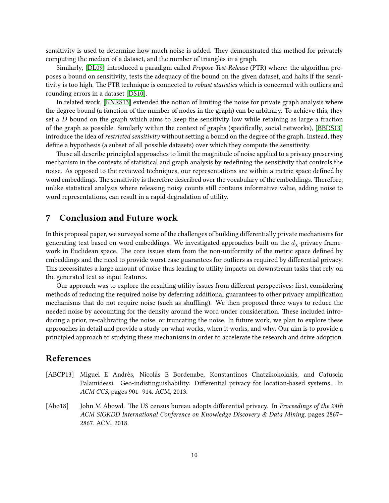sensitivity is used to determine how much noise is added. They demonstrated this method for privately computing the median of a dataset, and the number of triangles in a graph.

Similarly, [\[DL09\]](#page-10-14) introduced a paradigm called Propose-Test-Release (PTR) where: the algorithm proposes a bound on sensitivity, tests the adequacy of the bound on the given dataset, and halts if the sensitivity is too high. The PTR technique is connected to *robust statistics* which is concerned with outliers and rounding errors in a dataset [\[DS10\]](#page-11-14).

In related work, [\[KNRS13\]](#page-12-4) extended the notion of limiting the noise for private graph analysis where the degree bound (a function of the number of nodes in the graph) can be arbitrary. To achieve this, they set a D bound on the graph which aims to keep the sensitivity low while retaining as large a fraction of the graph as possible. Similarly within the context of graphs (specifically, social networks), [\[BBDS13\]](#page-10-3) introduce the idea of restricted sensitivity without setting a bound on the degree of the graph. Instead, they define a hypothesis (a subset of all possible datasets) over which they compute the sensitivity.

These all describe principled approaches to limit the magnitude of noise applied to a privacy preserving mechanism in the contexts of statistical and graph analysis by redefining the sensitivity that controls the noise. As opposed to the reviewed techniques, our representations are within a metric space defined by word embeddings. The sensitivity is therefore described over the vocabulary of the embeddings. Therefore, unlike statistical analysis where releasing noisy counts still contains informative value, adding noise to word representations, can result in a rapid degradation of utility.

## 7 Conclusion and Future work

In this proposal paper, we surveyed some of the challenges of building differentially private mechanisms for generating text based on word embeddings. We investigated approaches built on the  $d<sub>x</sub>$ -privacy framework in Euclidean space. The core issues stem from the non-uniformity of the metric space defined by embeddings and the need to provide worst case guarantees for outliers as required by differential privacy. This necessitates a large amount of noise thus leading to utility impacts on downstream tasks that rely on the generated text as input features.

Our approach was to explore the resulting utility issues from different perspectives: first, considering methods of reducing the required noise by deferring additional guarantees to other privacy amplication mechanisms that do not require noise (such as shuffling). We then proposed three ways to reduce the needed noise by accounting for the density around the word under consideration. These included introducing a prior, re-calibrating the noise, or truncating the noise. In future work, we plan to explore these approaches in detail and provide a study on what works, when it works, and why. Our aim is to provide a principled approach to studying these mechanisms in order to accelerate the research and drive adoption.

## References

- <span id="page-9-0"></span>[ABCP13] Miguel E Andrés, Nicolás E Bordenabe, Konstantinos Chatzikokolakis, and Catuscia Palamidessi. Geo-indistinguishability: Differential privacy for location-based systems. In ACM CCS, pages 901–914. ACM, 2013.
- <span id="page-9-1"></span>[Abo18] John M Abowd. The US census bureau adopts differential privacy. In Proceedings of the 24th ACM SIGKDD International Conference on Knowledge Discovery & Data Mining, pages 2867– 2867. ACM, 2018.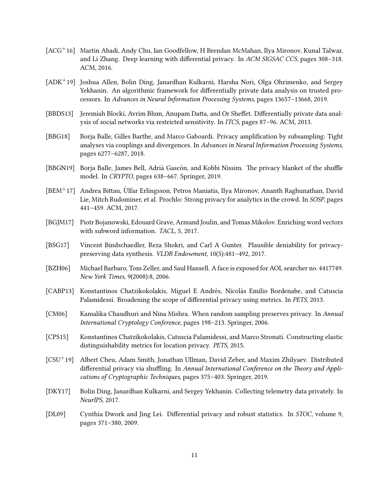- <span id="page-10-0"></span>[ACG+16] Martin Abadi, Andy Chu, Ian Goodfellow, H Brendan McMahan, Ilya Mironov, Kunal Talwar, and Li Zhang. Deep learning with differential privacy. In ACM SIGSAC CCS, pages 308-318. ACM, 2016.
- <span id="page-10-11"></span>[ADK+19] Joshua Allen, Bolin Ding, Janardhan Kulkarni, Harsha Nori, Olga Ohrimenko, and Sergey Yekhanin. An algorithmic framework for differentially private data analysis on trusted processors. In Advances in Neural Information Processing Systems, pages 13657–13668, 2019.
- <span id="page-10-3"></span>[BBDS13] Jeremiah Blocki, Avrim Blum, Anupam Datta, and Or Sheffet. Differentially private data analysis of social networks via restricted sensitivity. In ITCS, pages 87–96. ACM, 2013.
- <span id="page-10-8"></span>[BBG18] Borja Balle, Gilles Barthe, and Marco Gaboardi. Privacy amplication by subsampling: Tight analyses via couplings and divergences. In Advances in Neural Information Processing Systems, pages 6277–6287, 2018.
- <span id="page-10-10"></span>[BBGN19] Borja Balle, James Bell, Adrià Gascón, and Kobbi Nissim. The privacy blanket of the shuffle model. In CRYPTO, pages 638–667. Springer, 2019.
- <span id="page-10-4"></span> $[BEM<sup>+</sup>17]$  Andrea Bittau, Ulfar Erlingsson, Petros Maniatis, Ilya Mironov, Ananth Raghunathan, David Lie, Mitch Rudominer, et al. Prochlo: Strong privacy for analytics in the crowd. In SOSP, pages 441–459. ACM, 2017.
- <span id="page-10-12"></span>[BGJM17] Piotr Bojanowski, Edouard Grave, Armand Joulin, and Tomas Mikolov. Enriching word vectors with subword information. TACL, 5, 2017.
- <span id="page-10-13"></span>[BSG17] Vincent Bindschaedler, Reza Shokri, and Carl A Gunter. Plausible deniability for privacypreserving data synthesis. VLDB Endowment, 10(5):481–492, 2017.
- <span id="page-10-1"></span>[BZH06] Michael Barbaro, Tom Zeller, and Saul Hansell. A face is exposed for AOL searcher no. 4417749. New York Times, 9(2008):8, 2006.
- <span id="page-10-5"></span>[CABP13] Konstantinos Chatzikokolakis, Miguel E Andrés, Nicolás Emilio Bordenabe, and Catuscia Palamidessi. Broadening the scope of differential privacy using metrics. In PETS, 2013.
- <span id="page-10-7"></span>[CM06] Kamalika Chaudhuri and Nina Mishra. When random sampling preserves privacy. In Annual International Cryptology Conference, pages 198–213. Springer, 2006.
- <span id="page-10-6"></span>[CPS15] Konstantinos Chatzikokolakis, Catuscia Palamidessi, and Marco Stronati. Constructing elastic distinguishability metrics for location privacy. PETS, 2015.
- <span id="page-10-9"></span>[CSU+19] Albert Cheu, Adam Smith, Jonathan Ullman, David Zeber, and Maxim Zhilyaev. Distributed differential privacy via shuffling. In Annual International Conference on the Theory and Applications of Cryptographic Techniques, pages 375–403. Springer, 2019.
- <span id="page-10-2"></span>[DKY17] Bolin Ding, Janardhan Kulkarni, and Sergey Yekhanin. Collecting telemetry data privately. In NeurIPS, 2017.
- <span id="page-10-14"></span>[DL09] Cynthia Dwork and Jing Lei. Differential privacy and robust statistics. In *STOC*, volume 9, pages 371–380, 2009.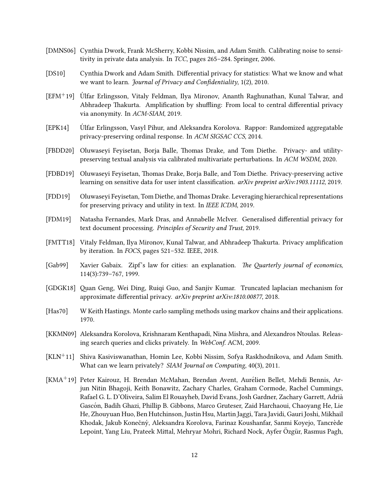- <span id="page-11-0"></span>[DMNS06] Cynthia Dwork, Frank McSherry, Kobbi Nissim, and Adam Smith. Calibrating noise to sensitivity in private data analysis. In TCC, pages 265–284. Springer, 2006.
- <span id="page-11-14"></span>[DS10] Cynthia Dwork and Adam Smith. Differential privacy for statistics: What we know and what we want to learn. *Journal of Privacy and Confidentiality*,  $1(2)$ , 2010.
- <span id="page-11-8"></span>[EFM+19] Ulfar Erlingsson, Vitaly Feldman, Ilya Mironov, Ananth Raghunathan, Kunal Talwar, and ´ Abhradeep Thakurta. Amplification by shuffling: From local to central differential privacy via anonymity. In ACM-SIAM, 2019.
- <span id="page-11-7"></span>[EPK14] Ulfar Erlingsson, Vasyl Pihur, and Aleksandra Korolova. Rappor: Randomized aggregatable ´ privacy-preserving ordinal response. In ACM SIGSAC CCS, 2014.
- <span id="page-11-4"></span>[FBDD20] Oluwaseyi Feyisetan, Borja Balle, Thomas Drake, and Tom Diethe. Privacy- and utilitypreserving textual analysis via calibrated multivariate perturbations. In ACM WSDM, 2020.
- <span id="page-11-9"></span>[FDBD19] Oluwaseyi Feyisetan, Thomas Drake, Borja Balle, and Tom Diethe. Privacy-preserving active learning on sensitive data for user intent classification. *arXiv preprint arXiv:1903.11112*, 2019.
- <span id="page-11-3"></span>[FDD19] Oluwaseyi Feyisetan, Tom Diethe, and Thomas Drake. Leveraging hierarchical representations for preserving privacy and utility in text. In IEEE ICDM, 2019.
- <span id="page-11-2"></span>[FDM19] Natasha Fernandes, Mark Dras, and Annabelle McIver. Generalised differential privacy for text document processing. Principles of Security and Trust, 2019.
- <span id="page-11-10"></span>[FMTT18] Vitaly Feldman, Ilya Mironov, Kunal Talwar, and Abhradeep Thakurta. Privacy amplification by iteration. In FOCS, pages 521–532. IEEE, 2018.
- <span id="page-11-11"></span>[Gab99] Xavier Gabaix. Zipf's law for cities: an explanation. The Quarterly journal of economics, 114(3):739–767, 1999.
- <span id="page-11-13"></span>[GDGK18] Quan Geng, Wei Ding, Ruiqi Guo, and Sanjiv Kumar. Truncated laplacian mechanism for approximate differential privacy. arXiv preprint arXiv:1810.00877, 2018.
- <span id="page-11-12"></span>[Has70] W Keith Hastings. Monte carlo sampling methods using markov chains and their applications. 1970.
- <span id="page-11-1"></span>[KKMN09] Aleksandra Korolova, Krishnaram Kenthapadi, Nina Mishra, and Alexandros Ntoulas. Releasing search queries and clicks privately. In WebConf. ACM, 2009.
- <span id="page-11-6"></span>[KLN+11] Shiva Kasiviswanathan, Homin Lee, Kobbi Nissim, Sofya Raskhodnikova, and Adam Smith. What can we learn privately? SIAM Journal on Computing, 40(3), 2011.
- <span id="page-11-5"></span>[KMA+19] Peter Kairouz, H. Brendan McMahan, Brendan Avent, Aurelien Bellet, Mehdi Bennis, Ar- ´ jun Nitin Bhagoji, Keith Bonawitz, Zachary Charles, Graham Cormode, Rachel Cummings, Rafael G. L. D'Oliveira, Salim El Rouayheb, David Evans, Josh Gardner, Zachary Garrett, Adrià Gascón, Badih Ghazi, Phillip B. Gibbons, Marco Gruteser, Zaid Harchaoui, Chaoyang He, Lie He, Zhouyuan Huo, Ben Hutchinson, Justin Hsu, Martin Jaggi, Tara Javidi, Gauri Joshi, Mikhail Khodak, Jakub Konečný, Aleksandra Korolova, Farinaz Koushanfar, Sanmi Koyejo, Tancrède Lepoint, Yang Liu, Prateek Mittal, Mehryar Mohri, Richard Nock, Ayfer Özgür, Rasmus Pagh,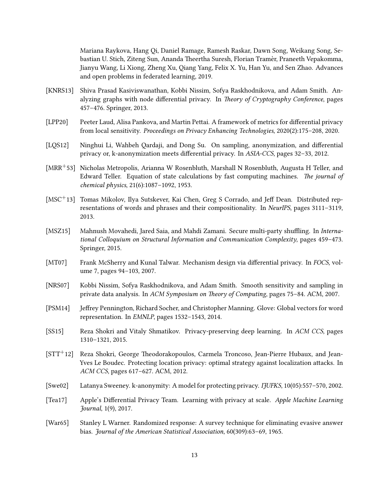Mariana Raykova, Hang Qi, Daniel Ramage, Ramesh Raskar, Dawn Song, Weikang Song, Sebastian U. Stich, Ziteng Sun, Ananda Theertha Suresh, Florian Tramèr, Praneeth Vepakomma, Jianyu Wang, Li Xiong, Zheng Xu, Qiang Yang, Felix X. Yu, Han Yu, and Sen Zhao. Advances and open problems in federated learning, 2019.

- <span id="page-12-4"></span>[KNRS13] Shiva Prasad Kasiviswanathan, Kobbi Nissim, Sofya Raskhodnikova, and Adam Smith. Analyzing graphs with node differential privacy. In Theory of Cryptography Conference, pages 457–476. Springer, 2013.
- <span id="page-12-13"></span>[LPP20] Peeter Laud, Alisa Pankova, and Martin Pettai. A framework of metrics for differential privacy from local sensitivity. Proceedings on Privacy Enhancing Technologies, 2020(2):175–208, 2020.
- <span id="page-12-5"></span>[LQS12] Ninghui Li, Wahbeh Qardaji, and Dong Su. On sampling, anonymization, and differential privacy or, k-anonymization meets differential privacy. In ASIA-CCS, pages 32-33, 2012.
- <span id="page-12-11"></span>[MRR+53] Nicholas Metropolis, Arianna W Rosenbluth, Marshall N Rosenbluth, Augusta H Teller, and Edward Teller. Equation of state calculations by fast computing machines. The journal of chemical physics, 21(6):1087–1092, 1953.
- <span id="page-12-8"></span> $[MSC^+13]$  Tomas Mikolov, Ilya Sutskever, Kai Chen, Greg S Corrado, and Jeff Dean. Distributed representations of words and phrases and their compositionality. In NeurIPS, pages 3111–3119, 2013.
- <span id="page-12-7"></span>[MSZ15] Mahnush Movahedi, Jared Saia, and Mahdi Zamani. Secure multi-party shuffling. In International Colloquium on Structural Information and Communication Complexity, pages 459–473. Springer, 2015.
- <span id="page-12-10"></span>[MT07] Frank McSherry and Kunal Talwar. Mechanism design via differential privacy. In FOCS, volume 7, pages 94–103, 2007.
- <span id="page-12-3"></span>[NRS07] Kobbi Nissim, Sofya Raskhodnikova, and Adam Smith. Smooth sensitivity and sampling in private data analysis. In  $ACM$  Symposium on Theory of Computing, pages 75–84. ACM, 2007.
- <span id="page-12-9"></span>[PSM14] Jeffrey Pennington, Richard Socher, and Christopher Manning. Glove: Global vectors for word representation. In EMNLP, pages 1532–1543, 2014.
- <span id="page-12-0"></span>[SS15] Reza Shokri and Vitaly Shmatikov. Privacy-preserving deep learning. In ACM CCS, pages 1310–1321, 2015.
- <span id="page-12-12"></span> $[STT<sup>+</sup>12]$  Reza Shokri, George Theodorakopoulos, Carmela Troncoso, Jean-Pierre Hubaux, and Jean-Yves Le Boudec. Protecting location privacy: optimal strategy against localization attacks. In ACM CCS, pages 617–627. ACM, 2012.
- <span id="page-12-1"></span>[Swe02] Latanya Sweeney. k-anonymity: A model for protecting privacy. IJUFKS, 10(05):557–570, 2002.
- <span id="page-12-2"></span>[Tea17] Apple's Differential Privacy Team. Learning with privacy at scale. Apple Machine Learning Journal, 1(9), 2017.
- <span id="page-12-6"></span>[War65] Stanley L Warner. Randomized response: A survey technique for eliminating evasive answer bias. Journal of the American Statistical Association, 60(309):63–69, 1965.